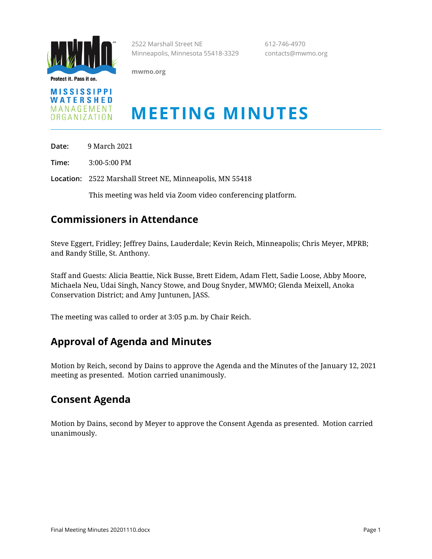

Protect it. Pass it on.

**mwmo.org**

2522 Marshall Street NE 612-746-4970 Minneapolis, Minnesota 55418-3329 contacts@mwmo.org

**MISSISSIPPI** WATERSHED MANAGEMENT ORGANIZATION

# **MEETING MINUTES**

**Date:** 9 March 2021

**Time:** 3:00-5:00 PM

**Location:** 2522 Marshall Street NE, Minneapolis, MN 55418

This meeting was held via Zoom video conferencing platform.

## **Commissioners in Attendance**

Steve Eggert, Fridley; Jeffrey Dains, Lauderdale; Kevin Reich, Minneapolis; Chris Meyer, MPRB; and Randy Stille, St. Anthony.

Staff and Guests: Alicia Beattie, Nick Busse, Brett Eidem, Adam Flett, Sadie Loose, Abby Moore, Michaela Neu, Udai Singh, Nancy Stowe, and Doug Snyder, MWMO; Glenda Meixell, Anoka Conservation District; and Amy Juntunen, JASS.

The meeting was called to order at 3:05 p.m. by Chair Reich.

#### **Approval of Agenda and Minutes**

Motion by Reich, second by Dains to approve the Agenda and the Minutes of the January 12, 2021 meeting as presented. Motion carried unanimously.

#### **Consent Agenda**

Motion by Dains, second by Meyer to approve the Consent Agenda as presented. Motion carried unanimously.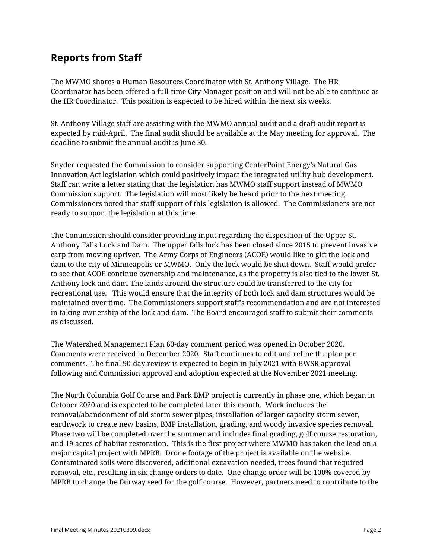## **Reports from Staff**

The MWMO shares a Human Resources Coordinator with St. Anthony Village. The HR Coordinator has been offered a full-time City Manager position and will not be able to continue as the HR Coordinator. This position is expected to be hired within the next six weeks.

St. Anthony Village staff are assisting with the MWMO annual audit and a draft audit report is expected by mid-April. The final audit should be available at the May meeting for approval. The deadline to submit the annual audit is June 30.

Snyder requested the Commission to consider supporting CenterPoint Energy's Natural Gas Innovation Act legislation which could positively impact the integrated utility hub development. Staff can write a letter stating that the legislation has MWMO staff support instead of MWMO Commission support. The legislation will most likely be heard prior to the next meeting. Commissioners noted that staff support of this legislation is allowed. The Commissioners are not ready to support the legislation at this time.

The Commission should consider providing input regarding the disposition of the Upper St. Anthony Falls Lock and Dam. The upper falls lock has been closed since 2015 to prevent invasive carp from moving upriver. The Army Corps of Engineers (ACOE) would like to gift the lock and dam to the city of Minneapolis or MWMO. Only the lock would be shut down. Staff would prefer to see that ACOE continue ownership and maintenance, as the property is also tied to the lower St. Anthony lock and dam. The lands around the structure could be transferred to the city for recreational use. This would ensure that the integrity of both lock and dam structures would be maintained over time. The Commissioners support staff's recommendation and are not interested in taking ownership of the lock and dam. The Board encouraged staff to submit their comments as discussed.

The Watershed Management Plan 60-day comment period was opened in October 2020. Comments were received in December 2020. Staff continues to edit and refine the plan per comments. The final 90-day review is expected to begin in July 2021 with BWSR approval following and Commission approval and adoption expected at the November 2021 meeting.

The North Columbia Golf Course and Park BMP project is currently in phase one, which began in October 2020 and is expected to be completed later this month. Work includes the removal/abandonment of old storm sewer pipes, installation of larger capacity storm sewer, earthwork to create new basins, BMP installation, grading, and woody invasive species removal. Phase two will be completed over the summer and includes final grading, golf course restoration, and 19 acres of habitat restoration. This is the first project where MWMO has taken the lead on a major capital project with MPRB. Drone footage of the project is available on the website. Contaminated soils were discovered, additional excavation needed, trees found that required removal, etc., resulting in six change orders to date. One change order will be 100% covered by MPRB to change the fairway seed for the golf course. However, partners need to contribute to the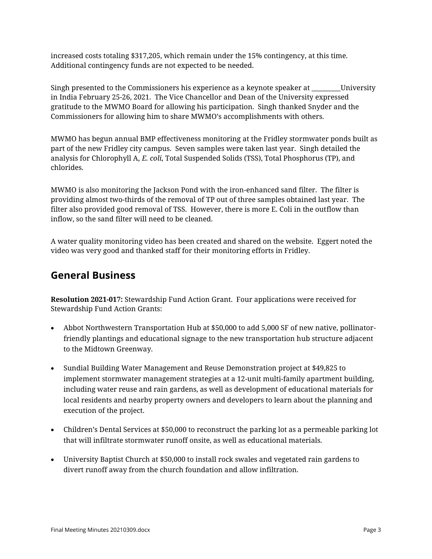increased costs totaling \$317,205, which remain under the 15% contingency, at this time. Additional contingency funds are not expected to be needed.

Singh presented to the Commissioners his experience as a keynote speaker at **The University** in India February 25-26, 2021. The Vice Chancellor and Dean of the University expressed gratitude to the MWMO Board for allowing his participation. Singh thanked Snyder and the Commissioners for allowing him to share MWMO's accomplishments with others.

MWMO has begun annual BMP effectiveness monitoring at the Fridley stormwater ponds built as part of the new Fridley city campus. Seven samples were taken last year. Singh detailed the analysis for Chlorophyll A, *E. coli*, Total Suspended Solids (TSS), Total Phosphorus (TP), and chlorides.

MWMO is also monitoring the Jackson Pond with the iron-enhanced sand filter. The filter is providing almost two-thirds of the removal of TP out of three samples obtained last year. The filter also provided good removal of TSS. However, there is more E. Coli in the outflow than inflow, so the sand filter will need to be cleaned.

A water quality monitoring video has been created and shared on the website. Eggert noted the video was very good and thanked staff for their monitoring efforts in Fridley.

#### **General Business**

**Resolution 2021-017:** Stewardship Fund Action Grant. Four applications were received for Stewardship Fund Action Grants:

- Abbot Northwestern Transportation Hub at \$50,000 to add 5,000 SF of new native, pollinatorfriendly plantings and educational signage to the new transportation hub structure adjacent to the Midtown Greenway.
- Sundial Building Water Management and Reuse Demonstration project at \$49,825 to implement stormwater management strategies at a 12-unit multi-family apartment building, including water reuse and rain gardens, as well as development of educational materials for local residents and nearby property owners and developers to learn about the planning and execution of the project.
- Children's Dental Services at \$50,000 to reconstruct the parking lot as a permeable parking lot that will infiltrate stormwater runoff onsite, as well as educational materials.
- University Baptist Church at \$50,000 to install rock swales and vegetated rain gardens to divert runoff away from the church foundation and allow infiltration.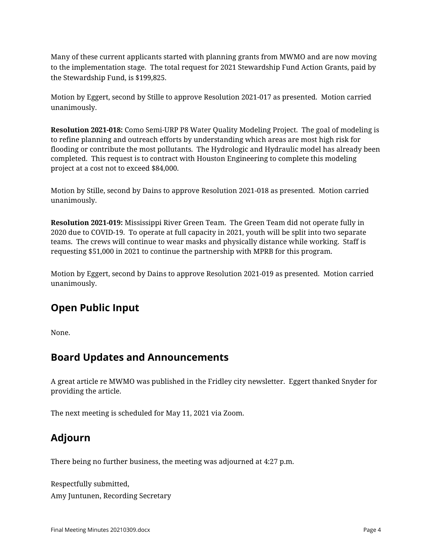Many of these current applicants started with planning grants from MWMO and are now moving to the implementation stage. The total request for 2021 Stewardship Fund Action Grants, paid by the Stewardship Fund, is \$199,825.

Motion by Eggert, second by Stille to approve Resolution 2021-017 as presented. Motion carried unanimously.

**Resolution 2021-018:** Como Semi-URP P8 Water Quality Modeling Project. The goal of modeling is to refine planning and outreach efforts by understanding which areas are most high risk for flooding or contribute the most pollutants. The Hydrologic and Hydraulic model has already been completed. This request is to contract with Houston Engineering to complete this modeling project at a cost not to exceed \$84,000.

Motion by Stille, second by Dains to approve Resolution 2021-018 as presented. Motion carried unanimously.

**Resolution 2021-019:** Mississippi River Green Team. The Green Team did not operate fully in 2020 due to COVID-19. To operate at full capacity in 2021, youth will be split into two separate teams. The crews will continue to wear masks and physically distance while working. Staff is requesting \$51,000 in 2021 to continue the partnership with MPRB for this program.

Motion by Eggert, second by Dains to approve Resolution 2021-019 as presented. Motion carried unanimously.

# **Open Public Input**

None.

#### **Board Updates and Announcements**

A great article re MWMO was published in the Fridley city newsletter. Eggert thanked Snyder for providing the article.

The next meeting is scheduled for May 11, 2021 via Zoom.

# **Adjourn**

There being no further business, the meeting was adjourned at 4:27 p.m.

Respectfully submitted, Amy Juntunen, Recording Secretary